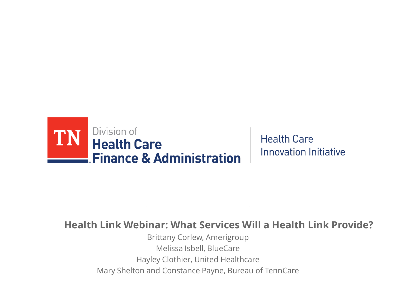

**Health Care Innovation Initiative** 

## **Health Link Webinar: What Services Will a Health Link Provide?**

Brittany Corlew, Amerigroup Melissa Isbell, BlueCare Hayley Clothier, United Healthcare Mary Shelton and Constance Payne, Bureau of TennCare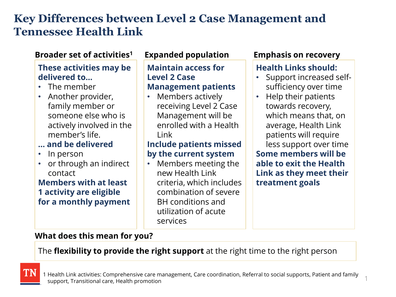# **Key Differences between Level 2 Case Management and Tennessee Health Link**

## **Broader set of activities<sup>1</sup>**

## **These activities may be delivered to…**

- The member
- Another provider, family member or someone else who is actively involved in the member's life.

## **… and be delivered**

- In person
- or through an indirect contact

#### **Members with at least 1 activity are eligible for a monthly payment**

#### **Expanded population Emphasis on recovery**

#### **Maintain access for Level 2 Case Management patients**

• Members actively receiving Level 2 Case Management will be enrolled with a Health Link

## **Include patients missed by the current system**

• Members meeting the new Health Link criteria, which includes combination of severe BH conditions and utilization of acute services

## **Health Links should:**

- Support increased selfsufficiency over time
- Help their patients towards recovery, which means that, on average, Health Link patients will require less support over time **Some members will be able to exit the Health Link as they meet their treatment goals**

1

#### **What does this mean for you?**

## The **flexibility to provide the right support** at the right time to the right person

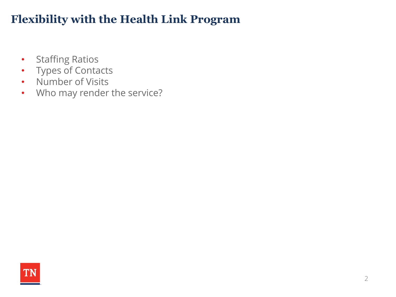# **Flexibility with the Health Link Program**

- Staffing Ratios
- Types of Contacts
- Number of Visits
- Who may render the service?

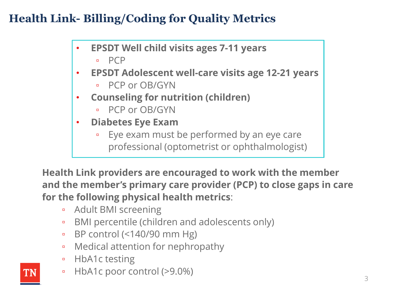# **Health Link- Billing/Coding for Quality Metrics**

- **EPSDT Well child visits ages 7-11 years**
	- PCP
- **EPSDT Adolescent well-care visits age 12-21 years**
	- PCP or OB/GYN
- **Counseling for nutrition (children)**
	- PCP or OB/GYN
- **Diabetes Eye Exam**
	- Eye exam must be performed by an eye care professional (optometrist or ophthalmologist)

**Health Link providers are encouraged to work with the member and the member's primary care provider (PCP) to close gaps in care for the following physical health metrics**:

- Adult BMI screening
- BMI percentile (children and adolescents only)
- BP control (<140/90 mm Hg)
- Medical attention for nephropathy
- HbA1c testing
- HbA1c poor control (>9.0%)

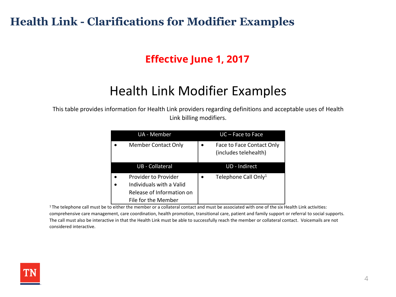## **Health Link - Clarifications for Modifier Examples**

## **Effective June 1, 2017**

# Health Link Modifier Examples

This table provides information for Health Link providers regarding definitions and acceptable uses of Health Link billing modifiers.

| UA - Member                                                                                          | UC – Face to Face                                  |
|------------------------------------------------------------------------------------------------------|----------------------------------------------------|
| <b>Member Contact Only</b>                                                                           | Face to Face Contact Only<br>(includes telehealth) |
| <b>UB</b> - Collateral                                                                               | <b>UD</b> - Indirect                               |
| Provider to Provider<br>Individuals with a Valid<br>Release of Information on<br>File for the Member | Telephone Call Only <sup>1</sup>                   |

<sup>1</sup>The telephone call must be to either the member or a collateral contact and must be associated with one of the six Health Link activities: comprehensive care management, care coordination, health promotion, transitional care, patient and family support or referral to social supports. The call must also be interactive in that the Health Link must be able to successfully reach the member or collateral contact. Voicemails are not considered interactive.

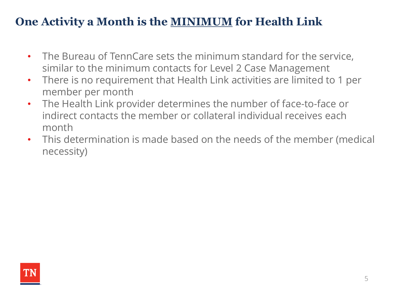# **One Activity a Month is the MINIMUM for Health Link**

- The Bureau of TennCare sets the minimum standard for the service, similar to the minimum contacts for Level 2 Case Management
- There is no requirement that Health Link activities are limited to 1 per member per month
- The Health Link provider determines the number of face-to-face or indirect contacts the member or collateral individual receives each month
- This determination is made based on the needs of the member (medical necessity)

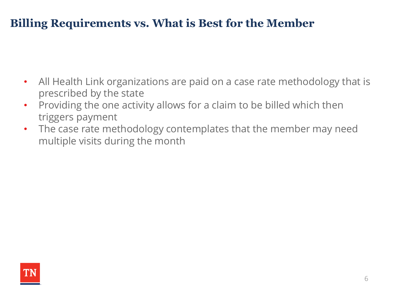# **Billing Requirements vs. What is Best for the Member**

- All Health Link organizations are paid on a case rate methodology that is prescribed by the state
- Providing the one activity allows for a claim to be billed which then triggers payment
- The case rate methodology contemplates that the member may need multiple visits during the month

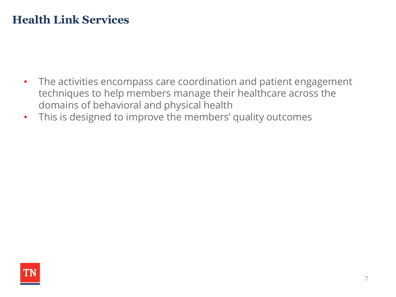# **Health Link Services**

- The activities encompass care coordination and patient engagement techniques to help members manage their healthcare across the domains of behavioral and physical health
- This is designed to improve the members' quality outcomes

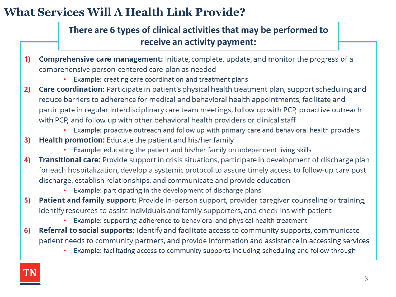# **What Services Will A Health Link Provide?**

## There are 6 types of clinical activities that may be performed to receive an activity payment:

- **Comprehensive care management:** Initiate, complete, update, and monitor the progress of a  $\overline{1}$ comprehensive person-centered care plan as needed
	- Example: creating care coordination and treatment plans
- Care coordination: Participate in patient's physical health treatment plan, support scheduling and  $2)$ reduce barriers to adherence for medical and behavioral health appointments, facilitate and participate in regular interdisciplinary care team meetings, follow up with PCP, proactive outreach with PCP, and follow up with other behavioral health providers or clinical staff
	- Example: proactive outreach and follow up with primary care and behavioral health providers
- **Health promotion:** Educate the patient and his/her family  $3)$ 
	- Example: educating the patient and his/her family on independent living skills
- Transitional care: Provide support in crisis situations, participate in development of discharge plan 4) for each hospitalization, develop a systemic protocol to assure timely access to follow-up care post discharge, establish relationships, and communicate and provide education
	- Example: participating in the development of discharge plans
- 5) **Patient and family support:** Provide in-person support, provider caregiver counseling or training, identify resources to assist individuals and family supporters, and check-ins with patient
	- Example: supporting adherence to behavioral and physical health treatment
- **Referral to social supports:** Identify and facilitate access to community supports, communicate  $6)$ patient needs to community partners, and provide information and assistance in accessing services
	- Example: facilitating access to community supports including scheduling and follow through

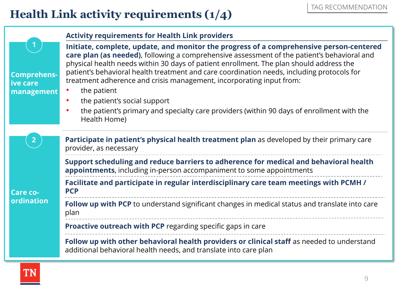# **Health Link activity requirements (1/4)**

|                                                 | <b>Activity requirements for Health Link providers</b>                                                                                                                                                                                                                                                                                                                                                                                                  |  |
|-------------------------------------------------|---------------------------------------------------------------------------------------------------------------------------------------------------------------------------------------------------------------------------------------------------------------------------------------------------------------------------------------------------------------------------------------------------------------------------------------------------------|--|
| <b>Comprehens-</b><br>ive care<br>management    | Initiate, complete, update, and monitor the progress of a comprehensive person-centered<br>care plan (as needed), following a comprehensive assessment of the patient's behavioral and<br>physical health needs within 30 days of patient enrollment. The plan should address the<br>patient's behavioral health treatment and care coordination needs, including protocols for<br>treatment adherence and crisis management, incorporating input from: |  |
|                                                 | the patient<br>the patient's social support                                                                                                                                                                                                                                                                                                                                                                                                             |  |
|                                                 | the patient's primary and specialty care providers (within 90 days of enrollment with the<br>Health Home)                                                                                                                                                                                                                                                                                                                                               |  |
| $\overline{2}$<br><b>Care co-</b><br>ordination | Participate in patient's physical health treatment plan as developed by their primary care<br>provider, as necessary                                                                                                                                                                                                                                                                                                                                    |  |
|                                                 | Support scheduling and reduce barriers to adherence for medical and behavioral health<br><b>appointments</b> , including in-person accompaniment to some appointments                                                                                                                                                                                                                                                                                   |  |
|                                                 | Facilitate and participate in regular interdisciplinary care team meetings with PCMH /<br><b>PCP</b>                                                                                                                                                                                                                                                                                                                                                    |  |
|                                                 | Follow up with PCP to understand significant changes in medical status and translate into care<br>plan                                                                                                                                                                                                                                                                                                                                                  |  |
|                                                 | <b>Proactive outreach with PCP</b> regarding specific gaps in care                                                                                                                                                                                                                                                                                                                                                                                      |  |
|                                                 | Follow up with other behavioral health providers or clinical staff as needed to understand<br>additional behavioral health needs, and translate into care plan                                                                                                                                                                                                                                                                                          |  |

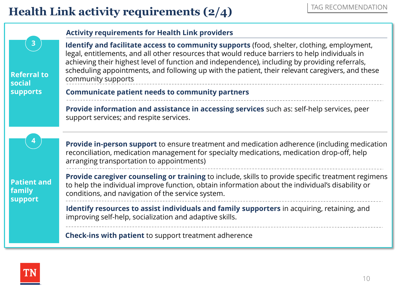# **Health Link activity requirements (2/4)**

|                                                                 | <b>Activity requirements for Health Link providers</b>                                                                                                                                                                                                                                                                                                                                                                   |
|-----------------------------------------------------------------|--------------------------------------------------------------------------------------------------------------------------------------------------------------------------------------------------------------------------------------------------------------------------------------------------------------------------------------------------------------------------------------------------------------------------|
| $\mathbf{3}$<br><b>Referral to</b><br>social<br><b>supports</b> | Identify and facilitate access to community supports (food, shelter, clothing, employment,<br>legal, entitlements, and all other resources that would reduce barriers to help individuals in<br>achieving their highest level of function and independence), including by providing referrals,<br>scheduling appointments, and following up with the patient, their relevant caregivers, and these<br>community supports |
|                                                                 | <b>Communicate patient needs to community partners</b>                                                                                                                                                                                                                                                                                                                                                                   |
| <b>Patient and</b><br>family<br><b>support</b>                  | <b>Provide information and assistance in accessing services</b> such as: self-help services, peer<br>support services; and respite services.                                                                                                                                                                                                                                                                             |
|                                                                 | <b>Provide in-person support</b> to ensure treatment and medication adherence (including medication<br>reconciliation, medication management for specialty medications, medication drop-off, help<br>arranging transportation to appointments)                                                                                                                                                                           |
|                                                                 | Provide caregiver counseling or training to include, skills to provide specific treatment regimens<br>to help the individual improve function, obtain information about the individual's disability or<br>conditions, and navigation of the service system.                                                                                                                                                              |
|                                                                 | Identify resources to assist individuals and family supporters in acquiring, retaining, and<br>improving self-help, socialization and adaptive skills.                                                                                                                                                                                                                                                                   |
|                                                                 | <b>Check-ins with patient to support treatment adherence</b>                                                                                                                                                                                                                                                                                                                                                             |

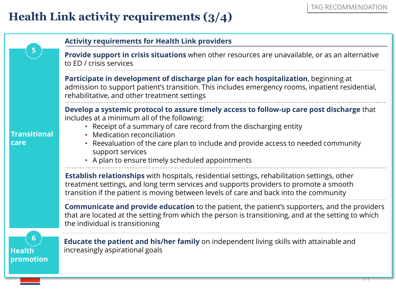# **Health Link activity requirements (3/4)**

|                                 | <b>Activity requirements for Health Link providers</b>                                                                                                                                                                                                                                                                                                                                                |
|---------------------------------|-------------------------------------------------------------------------------------------------------------------------------------------------------------------------------------------------------------------------------------------------------------------------------------------------------------------------------------------------------------------------------------------------------|
| 5                               | Provide support in crisis situations when other resources are unavailable, or as an alternative<br>to ED / crisis services                                                                                                                                                                                                                                                                            |
| <b>Transitional</b><br>care     | Participate in development of discharge plan for each hospitalization, beginning at<br>admission to support patient's transition. This includes emergency rooms, inpatient residential,<br>rehabilitative, and other treatment settings                                                                                                                                                               |
|                                 | Develop a systemic protocol to assure timely access to follow-up care post discharge that<br>includes at a minimum all of the following:<br>• Receipt of a summary of care record from the discharging entity<br>Medication reconciliation<br>Reevaluation of the care plan to include and provide access to needed community<br>support services<br>• A plan to ensure timely scheduled appointments |
|                                 | <b>Establish relationships</b> with hospitals, residential settings, rehabilitation settings, other<br>treatment settings, and long term services and supports providers to promote a smooth<br>transition if the patient is moving between levels of care and back into the community                                                                                                                |
|                                 | <b>Communicate and provide education</b> to the patient, the patient's supporters, and the providers<br>that are located at the setting from which the person is transitioning, and at the setting to which<br>the individual is transitioning                                                                                                                                                        |
| 6<br><b>Health</b><br>promotion | <b>Educate the patient and his/her family</b> on independent living skills with attainable and<br>increasingly aspirational goals                                                                                                                                                                                                                                                                     |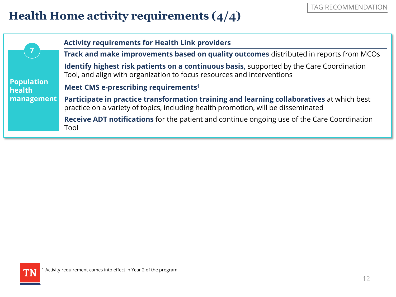# **Health Home activity requirements (4/4)**

| 7<br><b>Population</b><br>health<br>management | <b>Activity requirements for Health Link providers</b>                                                                                                                         |
|------------------------------------------------|--------------------------------------------------------------------------------------------------------------------------------------------------------------------------------|
|                                                | Track and make improvements based on quality outcomes distributed in reports from MCOs                                                                                         |
|                                                | Identify highest risk patients on a continuous basis, supported by the Care Coordination<br>Tool, and align with organization to focus resources and interventions             |
|                                                | Meet CMS e-prescribing requirements <sup>1</sup>                                                                                                                               |
|                                                | Participate in practice transformation training and learning collaboratives at which best<br>practice on a variety of topics, including health promotion, will be disseminated |
|                                                | <b>Receive ADT notifications</b> for the patient and continue ongoing use of the Care Coordination<br>Tool                                                                     |